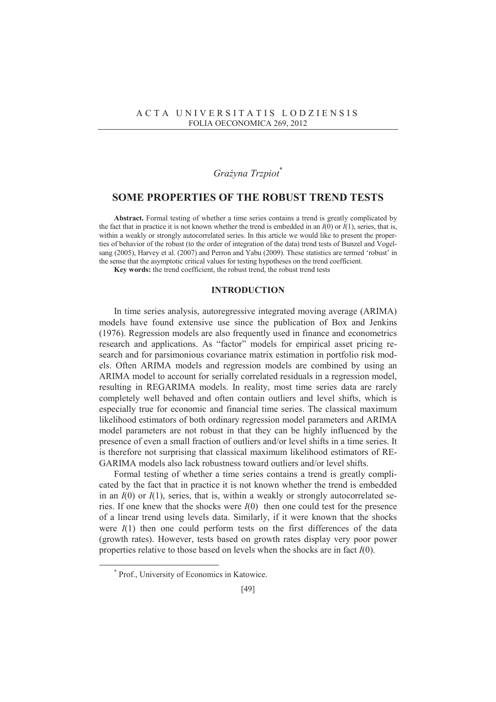## A C T A U N I V E R S I T A T I S L O D Z I E N S I S FOLIA OECONOMICA 269, 2012

# *GraĪyna Trzpiot*\*

# **SOME PROPERTIES OF THE ROBUST TREND TESTS**

**Abstract.** Formal testing of whether a time series contains a trend is greatly complicated by the fact that in practice it is not known whether the trend is embedded in an  $I(0)$  or  $I(1)$ , series, that is, within a weakly or strongly autocorrelated series. In this article we would like to present the properties of behavior of the robust (to the order of integration of the data) trend tests of Bunzel and Vogelsang (2005), Harvey et al. (2007) and Perron and Yabu (2009). These statistics are termed 'robust' in the sense that the asymptotic critical values for testing hypotheses on the trend coefficient.

Key words: the trend coefficient, the robust trend, the robust trend tests

## **INTRODUCTION**

In time series analysis, autoregressive integrated moving average (ARIMA) models have found extensive use since the publication of Box and Jenkins (1976). Regression models are also frequently used in finance and econometrics research and applications. As "factor" models for empirical asset pricing research and for parsimonious covariance matrix estimation in portfolio risk models. Often ARIMA models and regression models are combined by using an ARIMA model to account for serially correlated residuals in a regression model, resulting in REGARIMA models. In reality, most time series data are rarely completely well behaved and often contain outliers and level shifts, which is especially true for economic and financial time series. The classical maximum likelihood estimators of both ordinary regression model parameters and ARIMA model parameters are not robust in that they can be highly influenced by the presence of even a small fraction of outliers and/or level shifts in a time series. It is therefore not surprising that classical maximum likelihood estimators of RE-GARIMA models also lack robustness toward outliers and/or level shifts.

Formal testing of whether a time series contains a trend is greatly complicated by the fact that in practice it is not known whether the trend is embedded in an  $I(0)$  or  $I(1)$ , series, that is, within a weakly or strongly autocorrelated series. If one knew that the shocks were *I*(0) then one could test for the presence of a linear trend using levels data. Similarly, if it were known that the shocks were  $I(1)$  then one could perform tests on the first differences of the data (growth rates). However, tests based on growth rates display very poor power properties relative to those based on levels when the shocks are in fact *I*(0).

 $\overline{a}$ 

<sup>\*</sup> Prof., University of Economics in Katowice.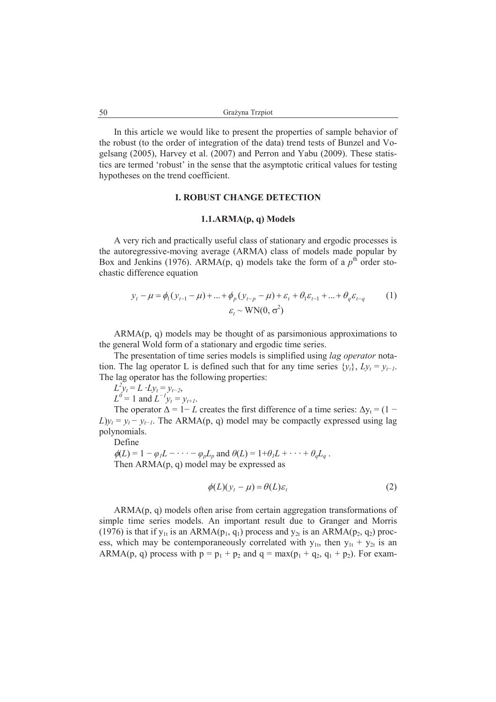In this article we would like to present the properties of sample behavior of the robust (to the order of integration of the data) trend tests of Bunzel and Vogelsang (2005), Harvey et al. (2007) and Perron and Yabu (2009). These statistics are termed 'robust' in the sense that the asymptotic critical values for testing hypotheses on the trend coefficient.

# **I. ROBUST CHANGE DETECTION**

#### **1.1.ARMA(p, q) Models**

A very rich and practically useful class of stationary and ergodic processes is the autoregressive-moving average (ARMA) class of models made popular by Box and Jenkins (1976). ARMA(p, q) models take the form of a  $p<sup>th</sup>$  order stochastic difference equation

$$
y_{t} - \mu = \phi_{1}(y_{t-1} - \mu) + ... + \phi_{p}(y_{t-p} - \mu) + \varepsilon_{t} + \theta_{1}\varepsilon_{t-1} + ... + \theta_{q}\varepsilon_{t-q}
$$
 (1)  

$$
\varepsilon_{t} \sim \text{WN}(0, \sigma^{2})
$$

ARMA(p, q) models may be thought of as parsimonious approximations to the general Wold form of a stationary and ergodic time series.

The presentation of time series models is simplified using *lag operator* notation. The lag operator L is defined such that for any time series  $\{y_t\}$ ,  $Ly_t = y_{t-1}$ . The lag operator has the following properties:

 $L^2 y_t = L \cdot Ly_t = y_{t-2}$ ,

 $L^0 = 1$  and  $L^{-1}y_t = y_{t+1}$ .

The operator  $\Delta = 1 - L$  creates the first difference of a time series:  $\Delta y_t = (1 L[y_t = y_t - y_{t-1}]$ . The ARMA(p, q) model may be compactly expressed using lag polynomials.

Define

 $\phi(L) = 1 - \phi_l L - \cdots - \phi_p L_p$  and  $\theta(L) = 1 + \theta_l L + \cdots + \theta_q L_q$ . Then ARMA(p, q) model may be expressed as

$$
\phi(L)(y_t - \mu) = \theta(L)\varepsilon_t \tag{2}
$$

ARMA(p, q) models often arise from certain aggregation transformations of simple time series models. An important result due to Granger and Morris (1976) is that if  $y_{1t}$  is an ARMA( $p_1$ ,  $q_1$ ) process and  $y_{2t}$  is an ARMA( $p_2$ ,  $q_2$ ) process, which may be contemporaneously correlated with  $y_{1t}$ , then  $y_{1t} + y_{2t}$  is an ARMA(p, q) process with  $p = p_1 + p_2$  and  $q = max(p_1 + q_2, q_1 + p_2)$ . For exam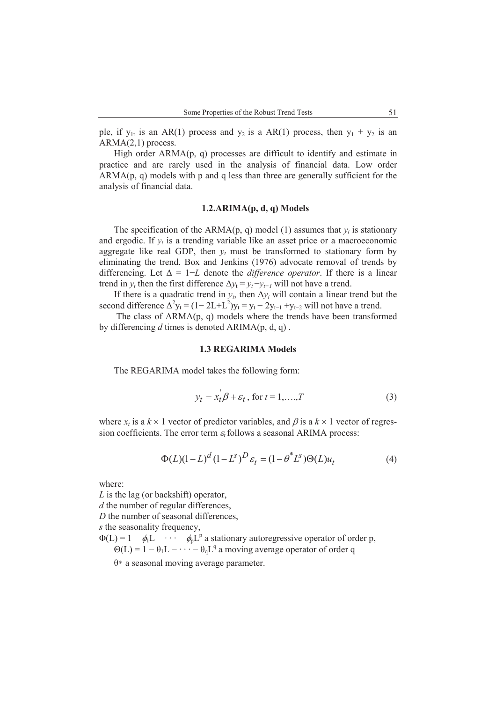ple, if  $y_{1t}$  is an AR(1) process and  $y_2$  is a AR(1) process, then  $y_1 + y_2$  is an ARMA(2,1) process.

High order  $ARMA(p, q)$  processes are difficult to identify and estimate in practice and are rarely used in the analysis of financial data. Low order  $ARMA(p, q)$  models with p and q less than three are generally sufficient for the analysis of financial data.

## **1.2.ARIMA(p, d, q) Models**

The specification of the ARMA(p, q) model (1) assumes that  $y_t$  is stationary and ergodic. If  $y_t$  is a trending variable like an asset price or a macroeconomic aggregate like real GDP, then  $y_t$  must be transformed to stationary form by eliminating the trend. Box and Jenkins (1976) advocate removal of trends by differencing. Let  $\Delta = 1-L$  denote the *difference operator*. If there is a linear trend in  $y_t$  then the first difference  $\Delta y_t = y_t - y_{t-1}$  will not have a trend.

If there is a quadratic trend in  $y_t$ , then  $\Delta y_t$  will contain a linear trend but the second difference  $\Delta^2 y_t = (1 - 2L + L^2)y_t = y_t - 2y_{t-1} + y_{t-2}$  will not have a trend.

 The class of ARMA(p, q) models where the trends have been transformed by differencing *d* times is denoted ARIMA(p, d, q) .

### **1.3 REGARIMA Models**

The REGARIMA model takes the following form:

$$
y_t = x_t^{\dagger} \beta + \varepsilon_t
$$
, for  $t = 1, ..., T$  (3)

where  $x_t$  is a  $k \times 1$  vector of predictor variables, and  $\beta$  is a  $k \times 1$  vector of regression coefficients. The error term  $\varepsilon$  follows a seasonal ARIMA process:

$$
\Phi(L)(1 - L)^d (1 - L^s)^D \varepsilon_t = (1 - \theta^* L^s) \Theta(L) u_t
$$
\n(4)

where:

*L* is the lag (or backshift) operator,

*d* the number of regular differences,

*D* the number of seasonal differences,

*s* the seasonality frequency,

 $\Phi(L) = 1 - \phi_1 L - \cdots - \phi_p L^p$  a stationary autoregressive operator of order p,  $\Theta(L) = 1 - \theta_1 L - \cdots - \theta_q L^q$  a moving average operator of order q

 $\theta^*$  a seasonal moving average parameter.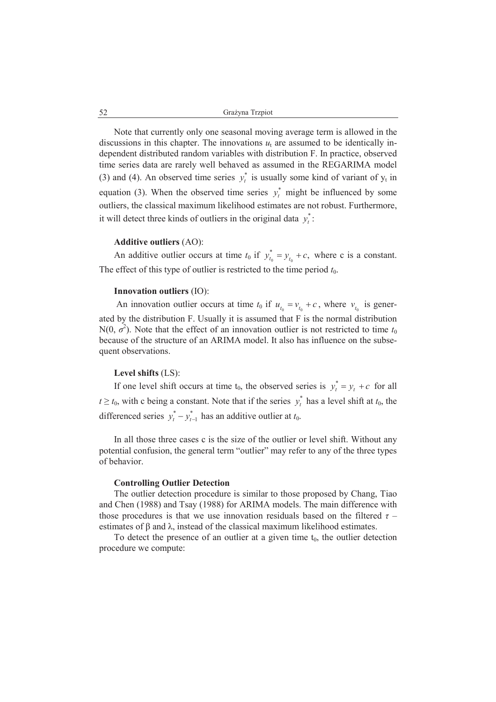Note that currently only one seasonal moving average term is allowed in the discussions in this chapter. The innovations  $u_t$  are assumed to be identically independent distributed random variables with distribution F. In practice, observed time series data are rarely well behaved as assumed in the REGARIMA model (3) and (4). An observed time series  $y_t^*$  is usually some kind of variant of  $y_t$  in equation (3). When the observed time series  $y_t^*$  might be influenced by some outliers, the classical maximum likelihood estimates are not robust. Furthermore, it will detect three kinds of outliers in the original data  $y_i^*$ :

### **Additive outliers** (AO):

An additive outlier occurs at time  $t_0$  if  $y_{t_0}^* = y_{t_0} + c$ ,  $y_{t_0}^* = y_{t_0} + c$ , where c is a constant. The effect of this type of outlier is restricted to the time period  $t_0$ .

## **Innovation outliers** (IO):

An innovation outlier occurs at time  $t_0$  if  $u_{t_0} = v_{t_0} + c$ , where  $v_{t_0}$  is generated by the distribution F. Usually it is assumed that F is the normal distribution N(0,  $\sigma^2$ ). Note that the effect of an innovation outlier is not restricted to time  $t_0$ because of the structure of an ARIMA model. It also has influence on the subsequent observations.

### **Level shifts** (LS):

If one level shift occurs at time  $t_0$ , the observed series is  $y_t^* = y_t + c$  for all  $t \ge t_0$ , with c being a constant. Note that if the series  $y_t^*$  has a level shift at  $t_0$ , the differenced series  $y_t^* - y_{t-1}^*$  has an additive outlier at  $t_0$ .

In all those three cases c is the size of the outlier or level shift. Without any potential confusion, the general term "outlier" may refer to any of the three types of behavior.

#### **Controlling Outlier Detection**

The outlier detection procedure is similar to those proposed by Chang, Tiao and Chen (1988) and Tsay (1988) for ARIMA models. The main difference with those procedures is that we use innovation residuals based on the filtered  $\tau$  – estimates of  $\beta$  and  $\lambda$ , instead of the classical maximum likelihood estimates.

To detect the presence of an outlier at a given time  $t_0$ , the outlier detection procedure we compute: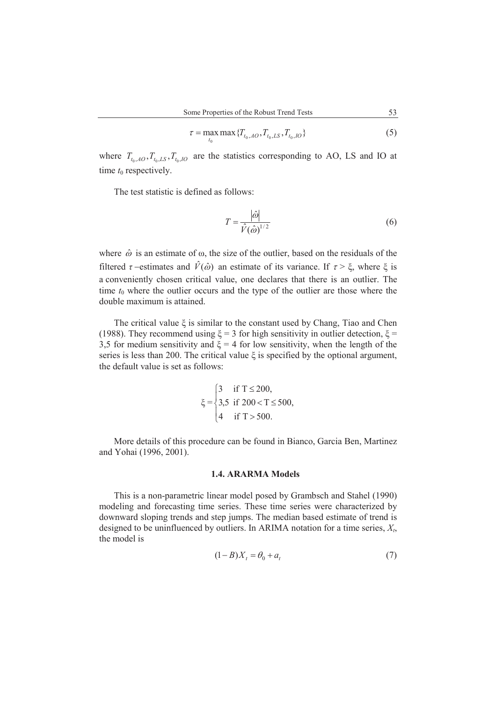$$
\tau = \max_{t_0} \max \{ T_{t_0,AO}, T_{t_0,LS}, T_{t_0,IO} \}
$$
\n(5)

where  $T_{t_0, A_O}, T_{t_0, I_S}, T_{t_0, IO}$  are the statistics corresponding to AO, LS and IO at time  $t_0$  respectively.

The test statistic is defined as follows:

$$
T = \frac{|\hat{\omega}|}{\hat{V}(\hat{\omega})^{1/2}}\tag{6}
$$

where  $\hat{\omega}$  is an estimate of  $\omega$ , the size of the outlier, based on the residuals of the filtered  $\tau$ -estimates and  $\hat{V}(\hat{\omega})$  an estimate of its variance. If  $\tau > \xi$ , where  $\xi$  is a conveniently chosen critical value, one declares that there is an outlier. The time  $t_0$  where the outlier occurs and the type of the outlier are those where the double maximum is attained.

The critical value  $\xi$  is similar to the constant used by Chang, Tiao and Chen (1988). They recommend using  $\xi = 3$  for high sensitivity in outlier detection,  $\xi =$ 3,5 for medium sensitivity and  $\xi = 4$  for low sensitivity, when the length of the series is less than 200. The critical value  $\xi$  is specified by the optional argument, the default value is set as follows:

$$
\xi = \begin{cases}\n3 & \text{if } T \leq 200, \\
3,5 & \text{if } 200 < T \leq 500, \\
4 & \text{if } T > 500.\n\end{cases}
$$

More details of this procedure can be found in Bianco, Garcia Ben, Martinez and Yohai (1996, 2001).

#### **1.4. ARARMA Models**

This is a non-parametric linear model posed by Grambsch and Stahel (1990) modeling and forecasting time series. These time series were characterized by downward sloping trends and step jumps. The median based estimate of trend is designed to be uninfluenced by outliers. In ARIMA notation for a time series, *X<sup>t</sup>* , the model is

$$
(1 - B)X_t = \theta_0 + a_t \tag{7}
$$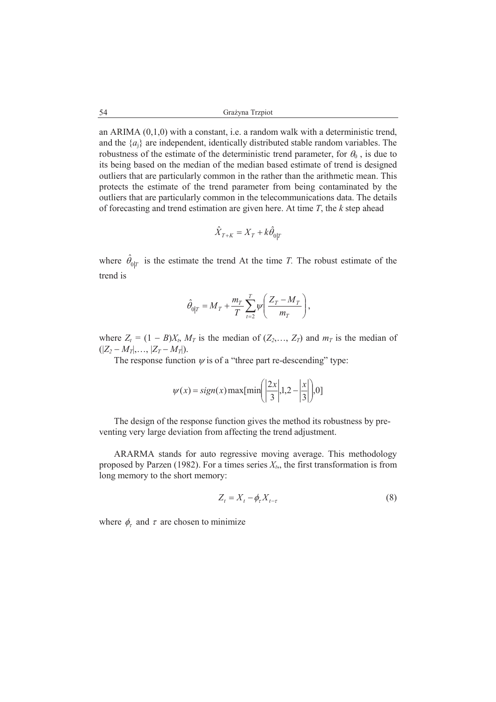an ARIMA (0,1,0) with a constant, i.e. a random walk with a deterministic trend, and the  $\{a_i\}$  are independent, identically distributed stable random variables. The robustness of the estimate of the deterministic trend parameter, for  $\theta_0$ , is due to its being based on the median of the median based estimate of trend is designed outliers that are particularly common in the rather than the arithmetic mean. This protects the estimate of the trend parameter from being contaminated by the outliers that are particularly common in the telecommunications data. The details of forecasting and trend estimation are given here. At time *T*, the *k* step ahead

$$
\hat{X}_{T+K} = X_T + k\hat{\theta}_{0|T}
$$

where  $\hat{\theta}_{0|T}$  is the estimate the trend At the time *T*. The robust estimate of the trend is

$$
\hat{\theta}_{0|T} = M_T + \frac{m_T}{T} \sum_{t=2}^T \psi \left( \frac{Z_T - M_T}{m_T} \right),
$$

where  $Z_t = (1 - B)X_t$ ,  $M_T$  is the median of  $(Z_2, \ldots, Z_T)$  and  $m_T$  is the median of  $(|Z_2 - M_T|, \ldots, |Z_T - M_T|).$ 

The response function  $\psi$  is of a "three part re-descending" type:

$$
\psi(x) = sign(x) \max[\min\left(\left|\frac{2x}{3}\right|, 1, 2-\left|\frac{x}{3}\right|], 0\right]
$$

The design of the response function gives the method its robustness by preventing very large deviation from affecting the trend adjustment.

ARARMA stands for auto regressive moving average. This methodology proposed by Parzen (1982). For a times series  $X_t$ , the first transformation is from long memory to the short memory:

$$
Z_t = X_t - \phi_\tau X_{t-\tau} \tag{8}
$$

where  $\phi_{\tau}$  and  $\tau$  are chosen to minimize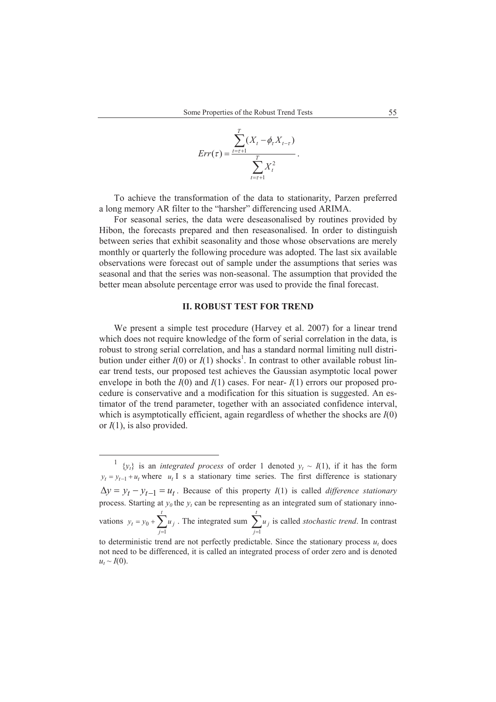$$
Err(\tau) = \frac{\sum_{t=\tau+1}^{T} (X_t - \phi_\tau X_{t-\tau})}{\sum_{t=\tau+1}^{T} X_t^2}.
$$

To achieve the transformation of the data to stationarity, Parzen preferred a long memory AR filter to the "harsher" differencing used ARIMA.

For seasonal series, the data were deseasonalised by routines provided by Hibon, the forecasts prepared and then reseasonalised. In order to distinguish between series that exhibit seasonality and those whose observations are merely monthly or quarterly the following procedure was adopted. The last six available observations were forecast out of sample under the assumptions that series was seasonal and that the series was non-seasonal. The assumption that provided the better mean absolute percentage error was used to provide the final forecast.

## **II. ROBUST TEST FOR TREND**

We present a simple test procedure (Harvey et al. 2007) for a linear trend which does not require knowledge of the form of serial correlation in the data, is robust to strong serial correlation, and has a standard normal limiting null distribution under either  $I(0)$  or  $I(1)$  shocks<sup>1</sup>. In contrast to other available robust linear trend tests, our proposed test achieves the Gaussian asymptotic local power envelope in both the  $I(0)$  and  $I(1)$  cases. For near- $I(1)$  errors our proposed procedure is conservative and a modification for this situation is suggested. An estimator of the trend parameter, together with an associated confidence interval, which is asymptotically efficient, again regardless of whether the shocks are *I*(0) or *I*(1), is also provided.

 $\overline{a}$ 

<sup>1</sup>  ${y_t}$  is an *integrated process* of order 1 denoted  $y_t \sim I(1)$ , if it has the form  $y_t = y_{t-1} + u_t$  where  $u_t$  I s a stationary time series. The first difference is stationary  $\Delta y = y_t - y_{t-1} = u_t$ . Because of this property *I*(1) is called *difference stationary* process. Starting at  $y_0$  the  $y_t$  can be representing as an integrated sum of stationary innovations  $y_t = y_0 + \sum_{j=1}^{\infty}$ *t j*  $y_t = y_0 + \sum u_j$ 1 0 . The integrated sum  $\sum_{j=1}^{t}$ *j*  $u_j$ 1 is called *stochastic trend*. In contrast to deterministic trend are not perfectly predictable. Since the stationary process  $u_t$  does not need to be differenced, it is called an integrated process of order zero and is denoted

 $u_t \sim I(0)$ .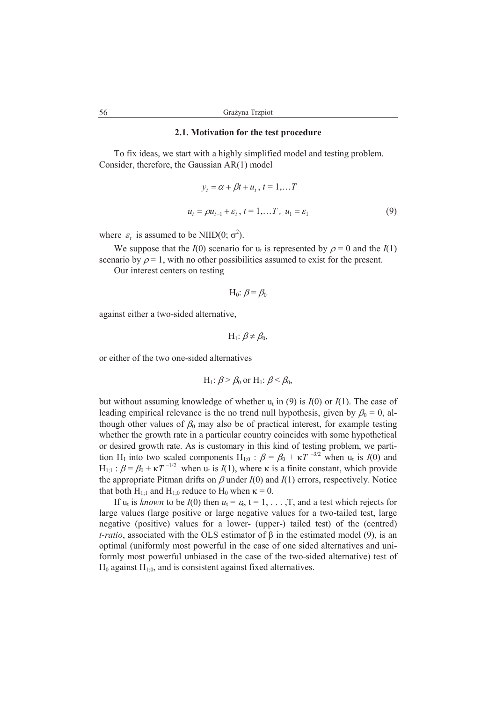## **2.1. Motivation for the test procedure**

To fix ideas, we start with a highly simplified model and testing problem. Consider, therefore, the Gaussian AR(1) model

$$
y_{t} = \alpha + \beta t + u_{t}, t = 1,...T
$$
  

$$
u_{t} = \rho u_{t-1} + \varepsilon_{t}, t = 1,...T, u_{1} = \varepsilon_{1}
$$
 (9)

where  $\varepsilon_t$  is assumed to be NIID(0;  $\sigma^2$ ).

We suppose that the  $I(0)$  scenario for  $u_t$  is represented by  $\rho = 0$  and the  $I(1)$ scenario by  $\rho = 1$ , with no other possibilities assumed to exist for the present.

Our interest centers on testing

$$
H_0: \beta = \beta_0
$$

against either a two-sided alternative,

$$
H_1: \beta \neq \beta_0,
$$

or either of the two one-sided alternatives

H<sub>1</sub>: 
$$
\beta > \beta_0
$$
 or H<sub>1</sub>:  $\beta < \beta_0$ ,

but without assuming knowledge of whether  $u_t$  in (9) is  $I(0)$  or  $I(1)$ . The case of leading empirical relevance is the no trend null hypothesis, given by  $\beta_0 = 0$ , although other values of  $\beta_0$  may also be of practical interest, for example testing whether the growth rate in a particular country coincides with some hypothetical or desired growth rate. As is customary in this kind of testing problem, we partition H<sub>1</sub> into two scaled components H<sub>1;0</sub> :  $\beta = \beta_0 + \kappa T^{-3/2}$  when u<sub>t</sub> is  $I(0)$  and  $H_{1,1}$ :  $\beta = \beta_0 + \kappa T^{-1/2}$  when  $u_t$  is  $I(1)$ , where  $\kappa$  is a finite constant, which provide the appropriate Pitman drifts on  $\beta$  under  $I(0)$  and  $I(1)$  errors, respectively. Notice that both H<sub>1:1</sub> and H<sub>1:0</sub> reduce to H<sub>0</sub> when  $\kappa = 0$ .

If  $u_t$  is *known* to be  $I(0)$  then  $u_t = \varepsilon_t$ ,  $t = 1, \ldots, T$ , and a test which rejects for large values (large positive or large negative values for a two-tailed test, large negative (positive) values for a lower- (upper-) tailed test) of the (centred) *t-ratio*, associated with the OLS estimator of  $\beta$  in the estimated model (9), is an optimal (uniformly most powerful in the case of one sided alternatives and uniformly most powerful unbiased in the case of the two-sided alternative) test of  $H_0$  against  $H_{1;0}$ , and is consistent against fixed alternatives.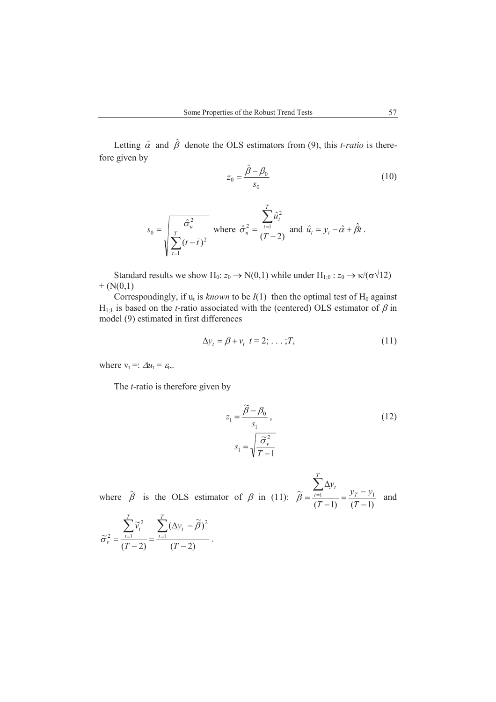Letting  $\hat{\alpha}$  and  $\hat{\beta}$  denote the OLS estimators from (9), this *t-ratio* is therefore given by

$$
z_0 = \frac{\hat{\beta} - \beta_0}{s_0} \tag{10}
$$

$$
s_0 = \sqrt{\frac{\hat{\sigma}_u^2}{\sum_{t=1}^T (t - \bar{t})^2}} \text{ where } \hat{\sigma}_u^2 = \frac{\sum_{t=1}^T \hat{u}_t^2}{(T - 2)} \text{ and } \hat{u}_t = y_t - \hat{\alpha} + \hat{\beta}t \,.
$$

Standard results we show H<sub>0</sub>:  $z_0 \rightarrow N(0,1)$  while under H<sub>1;0</sub> :  $z_0 \rightarrow \kappa/(\sigma\sqrt{12})$  $+ (N(0,1))$ 

Correspondingly, if  $u_t$  is *known* to be  $I(1)$  then the optimal test of  $H_0$  against  $H_{1:1}$  is based on the *t*-ratio associated with the (centered) OLS estimator of  $\beta$  in model (9) estimated in first differences

$$
\Delta y_t = \beta + v_t \quad t = 2; \quad \dots; T,\tag{11}
$$

where  $v_t =: \Delta u_t = \varepsilon_t$ .

The *t*-ratio is therefore given by

$$
z_1 = \frac{\widetilde{\beta} - \beta_0}{s_1},
$$
  
\n
$$
s_1 = \sqrt{\frac{\widetilde{\sigma}_v^2}{T - 1}}
$$
\n(12)

where  $\tilde{\beta}$  is the OLS estimator of  $\beta$  in (11):  $(T-1)$   $(T-1)$  $\widetilde{B} = \frac{1}{t-1}$   $\frac{1}{t-1}$   $\frac{1}{t-1}$   $\frac{1}{t-1}$  $\overline{a}$  $=\frac{y_T - y_T}{f_T}$  $\overline{a}$  $\wedge$  $=\frac{\sum_{t=1}}{\sum_{i=1}^{t}}$ *T*  $y_T - y$ *T y T T t t*  $\beta = \frac{t=1}{(T-1)} = \frac{yT - y_1}{(T-1)}$  and

$$
\widetilde{\sigma}_{\nu}^2 = \frac{\sum_{t=1}^T \widetilde{\nu}_t^2}{(T-2)} = \frac{\sum_{t=1}^T (\Delta y_t - \widetilde{\beta})^2}{(T-2)}.
$$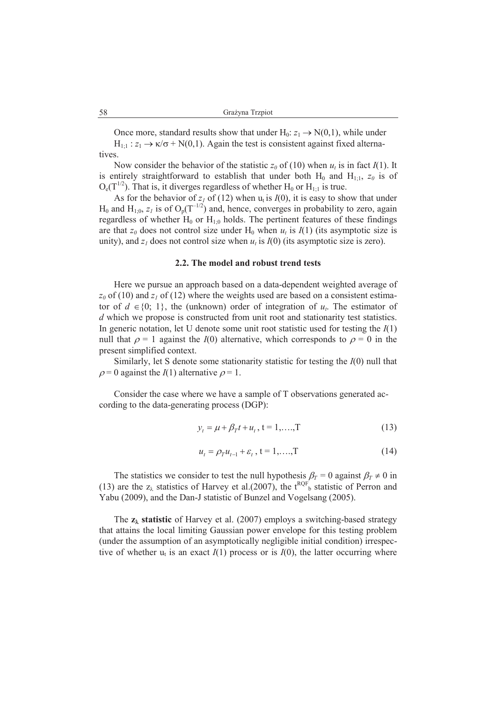Once more, standard results show that under  $H_0: z_1 \to N(0,1)$ , while under  $H_{1:1}: z_1 \to \kappa/\sigma + N(0,1)$ . Again the test is consistent against fixed alternatives.

Now consider the behavior of the statistic  $z_0$  of (10) when  $u_t$  is in fact  $I(1)$ . It is entirely straightforward to establish that under both  $H_0$  and  $H_{1;1}$ ,  $z_0$  is of  $O_e(T^{1/2})$ . That is, it diverges regardless of whether H<sub>0</sub> or H<sub>1:1</sub> is true.

As for the behavior of  $z_I$  of (12) when  $u_t$  is  $I(0)$ , it is easy to show that under  $H_0$  and  $H_{1:0}$ ,  $z_I$  is of  $O_p(T^{-1/2})$  and, hence, converges in probability to zero, again regardless of whether  $H_0$  or  $H_{1;0}$  holds. The pertinent features of these findings are that  $z_0$  does not control size under  $H_0$  when  $u_t$  is  $I(1)$  (its asymptotic size is unity), and  $z<sub>I</sub>$  does not control size when  $u<sub>t</sub>$  is  $I(0)$  (its asymptotic size is zero).

### **2.2. The model and robust trend tests**

Here we pursue an approach based on a data-dependent weighted average of  $z_0$  of (10) and  $z_1$  of (12) where the weights used are based on a consistent estimator of  $d \in \{0, 1\}$ , the (unknown) order of integration of  $u_t$ . The estimator of *d* which we propose is constructed from unit root and stationarity test statistics. In generic notation, let U denote some unit root statistic used for testing the *I*(1) null that  $\rho = 1$  against the *I*(0) alternative, which corresponds to  $\rho = 0$  in the present simplified context.

Similarly, let S denote some stationarity statistic for testing the *I*(0) null that  $\rho = 0$  against the *I*(1) alternative  $\rho = 1$ .

Consider the case where we have a sample of T observations generated according to the data-generating process (DGP):

$$
y_t = \mu + \beta_T t + u_t, \ t = 1, \dots, T \tag{13}
$$

$$
u_t = \rho_T u_{t-1} + \varepsilon_t, \ t = 1, \dots, T \tag{14}
$$

The statistics we consider to test the null hypothesis  $\beta_T = 0$  against  $\beta_T \neq 0$  in (13) are the  $z_\lambda$  statistics of Harvey et al.(2007), the t<sup>RQF</sup><sub>b</sub> statistic of Perron and Yabu (2009), and the Dan-J statistic of Bunzel and Vogelsang (2005).

The  $z_{\lambda}$  statistic of Harvey et al. (2007) employs a switching-based strategy that attains the local limiting Gaussian power envelope for this testing problem (under the assumption of an asymptotically negligible initial condition) irrespective of whether  $u_t$  is an exact  $I(1)$  process or is  $I(0)$ , the latter occurring where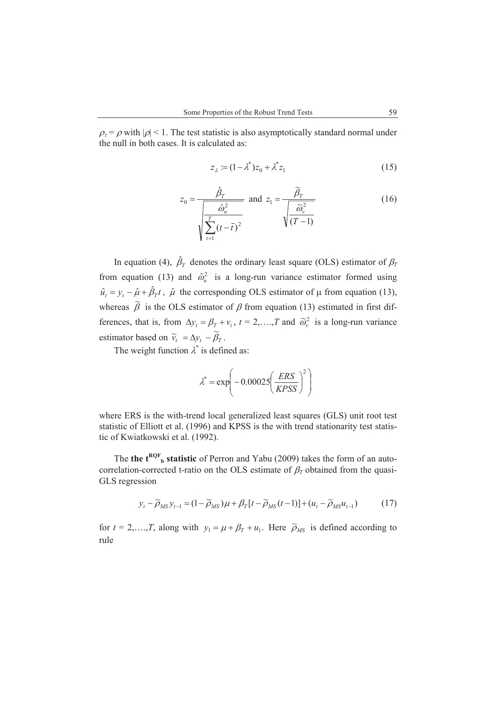$\rho_{\tau} = \rho$  with  $|\rho|$  < 1. The test statistic is also asymptotically standard normal under the null in both cases. It is calculated as:

$$
z_{\lambda} := (1 - \lambda^*) z_0 + \lambda^* z_1 \tag{15}
$$

$$
z_0 = \frac{\hat{\beta}_T}{\sqrt{\frac{\hat{\omega}_u^2}{\sum_{t=1}^T (t-\bar{t})^2}}}\text{ and } z_1 = \frac{\tilde{\beta}_T}{\sqrt{\frac{\tilde{\omega}_v^2}{(T-1)}}}
$$
(16)

In equation (4),  $\hat{\beta}_T$  denotes the ordinary least square (OLS) estimator of  $\beta_T$ from equation (13) and  $\hat{\omega}_u^2$  is a long-run variance estimator formed using  $\hat{u}_t = y_t - \hat{\mu} + \hat{\beta}_T t$ ,  $\hat{\mu}$  the corresponding OLS estimator of  $\mu$  from equation (13), whereas  $\tilde{\beta}$  is the OLS estimator of  $\beta$  from equation (13) estimated in first differences, that is, from  $\Delta y_t = \beta_T + v_t$ ,  $t = 2, ..., T$  and  $\tilde{\omega}_y^2$  is a long-run variance estimator based on  $\widetilde{v}_t = \Delta y_t - \widetilde{\beta}_T$ .

The weight function  $\lambda^*$  is defined as:

$$
\lambda^* = \exp\left(-0.00025 \left(\frac{ERS}{KPSS}\right)^2\right)
$$

where ERS is the with-trend local generalized least squares (GLS) unit root test statistic of Elliott et al. (1996) and KPSS is the with trend stationarity test statistic of Kwiatkowski et al. (1992).

The **the t<sup>RQF</sup><sub>b</sub> statistic** of Perron and Yabu (2009) takes the form of an autocorrelation-corrected t-ratio on the OLS estimate of  $\beta_T$  obtained from the quasi-GLS regression

$$
y_t - \widetilde{\rho}_{MS} y_{t-1} = (1 - \widetilde{\rho}_{MS})\mu + \beta_T \left[t - \widetilde{\rho}_{MS}(t-1)\right] + (u_t - \widetilde{\rho}_{MS} u_{t-1})\tag{17}
$$

for  $t = 2,...,T$ , along with  $y_1 = \mu + \beta_T + u_1$ . Here  $\tilde{\rho}_{MS}$  is defined according to rule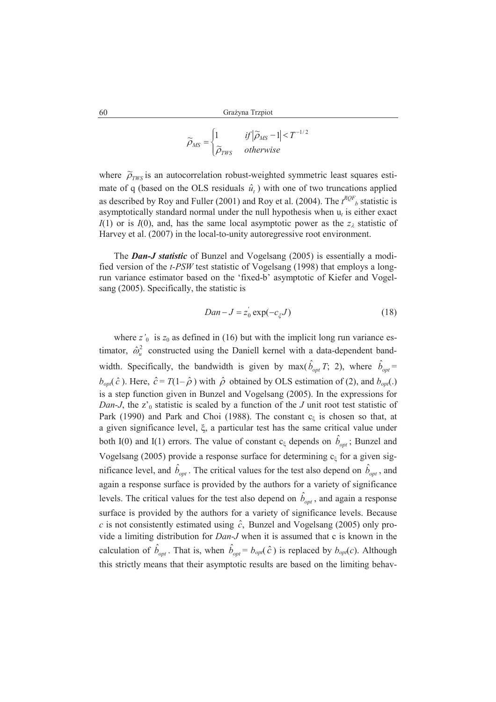$$
\widetilde{\rho}_{MS} = \begin{cases} 1 & \text{if } |\widetilde{\rho}_{MS} - 1| < T^{-1/2} \\ \widetilde{\rho}_{TWS} & \text{otherwise} \end{cases}
$$

where  $\tilde{\rho}_{TWS}$  is an autocorrelation robust-weighted symmetric least squares estimate of q (based on the OLS residuals  $\hat{u}_t$ ) with one of two truncations applied as described by Roy and Fuller (2001) and Roy et al. (2004). The  $t^{RQF}$ <sub>b</sub> statistic is asymptotically standard normal under the null hypothesis when  $u_t$  is either exact  $I(1)$  or is  $I(0)$ , and, has the same local asymptotic power as the  $z<sub>\lambda</sub>$  statistic of Harvey et al. (2007) in the local-to-unity autoregressive root environment.

The *Dan-J statistic* of Bunzel and Vogelsang (2005) is essentially a modified version of the *t-PSW* test statistic of Vogelsang (1998) that employs a longrun variance estimator based on the 'fixed-b' asymptotic of Kiefer and Vogelsang (2005). Specifically, the statistic is

$$
Dan - J = z_0 \exp(-c_{\xi}J) \tag{18}
$$

where  $z'_0$  is  $z_0$  as defined in (16) but with the implicit long run variance estimator,  $\hat{\omega}_u^2$  constructed using the Daniell kernel with a data-dependent bandwidth. Specifically, the bandwidth is given by max( $\hat{b}_{opt}$  *T*; 2), where  $\hat{b}_{opt}$  =  $b_{opt}(\hat{c})$ . Here,  $\hat{c} = T(1-\hat{\rho})$  with  $\hat{\rho}$  obtained by OLS estimation of (2), and  $b_{opt}$ . is a step function given in Bunzel and Vogelsang (2005). In the expressions for *Dan-J*, the z'<sub>0</sub> statistic is scaled by a function of the *J* unit root test statistic of Park (1990) and Park and Choi (1988). The constant  $c_{\xi}$  is chosen so that, at a given significance level,  $\xi$ , a particular test has the same critical value under both I(0) and I(1) errors. The value of constant  $c_{\xi}$  depends on  $\hat{b}_{opt}$ ; Bunzel and Vogelsang (2005) provide a response surface for determining  $c_{\xi}$  for a given significance level, and  $\hat{b}_{opt}$ . The critical values for the test also depend on  $\hat{b}_{opt}$ , and again a response surface is provided by the authors for a variety of significance levels. The critical values for the test also depend on  $\hat{b}_{opt}$ , and again a response surface is provided by the authors for a variety of significance levels. Because *c* is not consistently estimated using  $\hat{c}$ , Bunzel and Vogelsang (2005) only provide a limiting distribution for *Dan-J* when it is assumed that c is known in the calculation of  $\hat{b}_{opt}$ . That is, when  $\hat{b}_{opt} = b_{opt}(\hat{c})$  is replaced by  $b_{opt}(c)$ . Although this strictly means that their asymptotic results are based on the limiting behav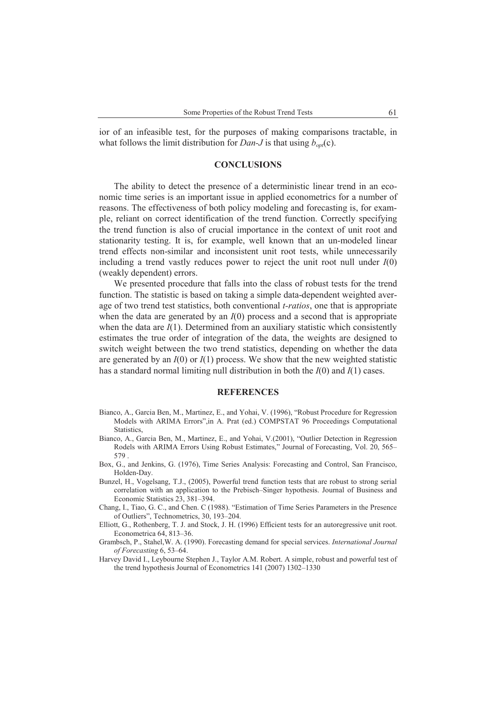ior of an infeasible test, for the purposes of making comparisons tractable, in what follows the limit distribution for *Dan-J* is that using  $b_{\alpha\nu}(c)$ .

## **CONCLUSIONS**

The ability to detect the presence of a deterministic linear trend in an economic time series is an important issue in applied econometrics for a number of reasons. The effectiveness of both policy modeling and forecasting is, for example, reliant on correct identification of the trend function. Correctly specifying the trend function is also of crucial importance in the context of unit root and stationarity testing. It is, for example, well known that an un-modeled linear trend effects non-similar and inconsistent unit root tests, while unnecessarily including a trend vastly reduces power to reject the unit root null under  $I(0)$ (weakly dependent) errors.

We presented procedure that falls into the class of robust tests for the trend function. The statistic is based on taking a simple data-dependent weighted average of two trend test statistics, both conventional *t-ratios*, one that is appropriate when the data are generated by an  $I(0)$  process and a second that is appropriate when the data are  $I(1)$ . Determined from an auxiliary statistic which consistently estimates the true order of integration of the data, the weights are designed to switch weight between the two trend statistics, depending on whether the data are generated by an  $I(0)$  or  $I(1)$  process. We show that the new weighted statistic has a standard normal limiting null distribution in both the *I*(0) and *I*(1) cases.

#### **REFERENCES**

- Bianco, A., Garcia Ben, M., Martinez, E., and Yohai, V. (1996), "Robust Procedure for Regression Models with ARIMA Errors",in A. Prat (ed.) COMPSTAT 96 Proceedings Computational Statistics,
- Bianco, A., Garcia Ben, M., Martinez, E., and Yohai, V.(2001), "Outlier Detection in Regression Rodels with ARIMA Errors Using Robust Estimates," Journal of Forecasting, Vol. 20, 565– 579 .
- Box, G., and Jenkins, G. (1976), Time Series Analysis: Forecasting and Control, San Francisco, Holden-Day.
- Bunzel, H., Vogelsang, T.J., (2005), Powerful trend function tests that are robust to strong serial correlation with an application to the Prebisch–Singer hypothesis. Journal of Business and Economic Statistics 23, 381–394.
- Chang, I., Tiao, G. C., and Chen. C (1988). "Estimation of Time Series Parameters in the Presence of Outliers", Technometrics, 30, 193–204.
- Elliott, G., Rothenberg, T. J. and Stock, J. H. (1996) Efficient tests for an autoregressive unit root. Econometrica 64, 813–36.
- Grambsch, P., Stahel,W. A. (1990). Forecasting demand for special services. *International Journal of Forecasting* 6, 53–64.
- Harvey David I., Leybourne Stephen J., Taylor A.M. Robert. A simple, robust and powerful test of the trend hypothesis Journal of Econometrics 141 (2007) 1302–1330